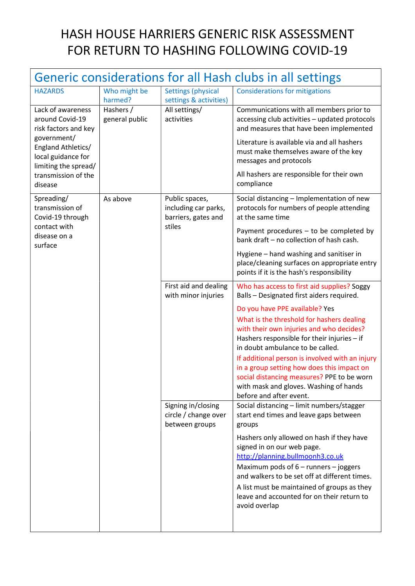## HASH HOUSE HARRIERS GENERIC RISK ASSESSMENT FOR RETURN TO HASHING FOLLOWING COVID-19

| Generic considerations for all Hash clubs in all settings                                                                                                                         |                             |                                                                         |                                                                                                                                                                                                                                                                                                             |  |  |  |
|-----------------------------------------------------------------------------------------------------------------------------------------------------------------------------------|-----------------------------|-------------------------------------------------------------------------|-------------------------------------------------------------------------------------------------------------------------------------------------------------------------------------------------------------------------------------------------------------------------------------------------------------|--|--|--|
| <b>HAZARDS</b>                                                                                                                                                                    | Who might be<br>harmed?     | <b>Settings (physical</b><br>settings & activities)                     | <b>Considerations for mitigations</b>                                                                                                                                                                                                                                                                       |  |  |  |
| Lack of awareness<br>around Covid-19<br>risk factors and key<br>government/<br>England Athletics/<br>local guidance for<br>limiting the spread/<br>transmission of the<br>disease | Hashers /<br>general public | All settings/<br>activities                                             | Communications with all members prior to<br>accessing club activities - updated protocols<br>and measures that have been implemented                                                                                                                                                                        |  |  |  |
|                                                                                                                                                                                   |                             |                                                                         | Literature is available via and all hashers<br>must make themselves aware of the key<br>messages and protocols                                                                                                                                                                                              |  |  |  |
|                                                                                                                                                                                   |                             |                                                                         | All hashers are responsible for their own<br>compliance                                                                                                                                                                                                                                                     |  |  |  |
| Spreading/<br>transmission of<br>Covid-19 through<br>contact with<br>disease on a<br>surface                                                                                      | As above                    | Public spaces,<br>including car parks,<br>barriers, gates and<br>stiles | Social distancing - Implementation of new<br>protocols for numbers of people attending<br>at the same time                                                                                                                                                                                                  |  |  |  |
|                                                                                                                                                                                   |                             |                                                                         | Payment procedures - to be completed by<br>bank draft - no collection of hash cash.                                                                                                                                                                                                                         |  |  |  |
|                                                                                                                                                                                   |                             |                                                                         | Hygiene - hand washing and sanitiser in<br>place/cleaning surfaces on appropriate entry<br>points if it is the hash's responsibility                                                                                                                                                                        |  |  |  |
|                                                                                                                                                                                   |                             | First aid and dealing<br>with minor injuries                            | Who has access to first aid supplies? Soggy<br>Balls - Designated first aiders required.                                                                                                                                                                                                                    |  |  |  |
|                                                                                                                                                                                   |                             |                                                                         | Do you have PPE available? Yes<br>What is the threshold for hashers dealing<br>with their own injuries and who decides?<br>Hashers responsible for their injuries - if<br>in doubt ambulance to be called.<br>If additional person is involved with an injury<br>in a group setting how does this impact on |  |  |  |
|                                                                                                                                                                                   |                             |                                                                         | social distancing measures? PPE to be worn<br>with mask and gloves. Washing of hands<br>before and after event.                                                                                                                                                                                             |  |  |  |
|                                                                                                                                                                                   |                             | Signing in/closing<br>circle / change over<br>between groups            | Social distancing - limit numbers/stagger<br>start end times and leave gaps between<br>groups                                                                                                                                                                                                               |  |  |  |
|                                                                                                                                                                                   |                             |                                                                         | Hashers only allowed on hash if they have<br>signed in on our web page.<br>http://planning.bullmoonh3.co.uk<br>Maximum pods of $6$ – runners – joggers<br>and walkers to be set off at different times.<br>A list must be maintained of groups as they<br>leave and accounted for on their return to        |  |  |  |
|                                                                                                                                                                                   |                             |                                                                         | avoid overlap                                                                                                                                                                                                                                                                                               |  |  |  |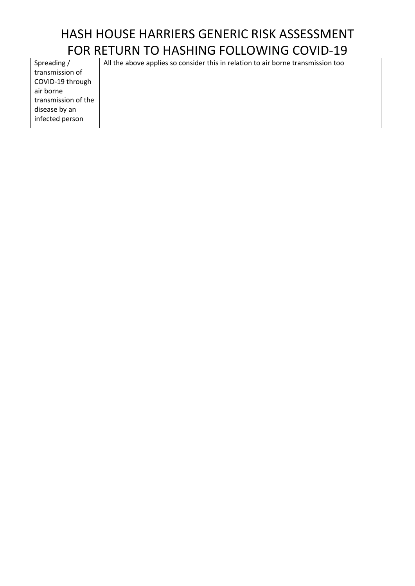## HASH HOUSE HARRIERS GENERIC RISK ASSESSMENT FOR RETURN TO HASHING FOLLOWING COVID-19

| Spreading /         | All the above applies so consider this in relation to air borne trans |
|---------------------|-----------------------------------------------------------------------|
| transmission of     |                                                                       |
| COVID-19 through    |                                                                       |
| air borne           |                                                                       |
| transmission of the |                                                                       |
| disease by an       |                                                                       |
| infected person     |                                                                       |
|                     |                                                                       |

smission too